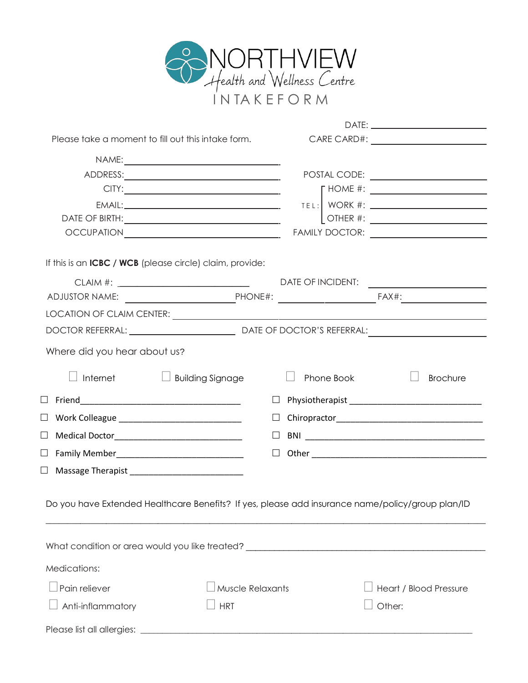

| Please take a moment to fill out this intake form.                                                              |                  |            |                                                                                 |
|-----------------------------------------------------------------------------------------------------------------|------------------|------------|---------------------------------------------------------------------------------|
|                                                                                                                 |                  |            |                                                                                 |
|                                                                                                                 |                  |            |                                                                                 |
|                                                                                                                 |                  |            | $\begin{array}{c} \n \text{HOME \#: } \begin{array}{c} \end{array} \end{array}$ |
|                                                                                                                 |                  |            |                                                                                 |
|                                                                                                                 |                  |            |                                                                                 |
|                                                                                                                 |                  |            |                                                                                 |
| If this is an <b>ICBC</b> / <b>WCB</b> (please circle) claim, provide:                                          |                  |            |                                                                                 |
|                                                                                                                 |                  |            |                                                                                 |
|                                                                                                                 |                  |            |                                                                                 |
|                                                                                                                 |                  |            |                                                                                 |
|                                                                                                                 |                  |            |                                                                                 |
| Where did you hear about us?                                                                                    |                  |            |                                                                                 |
| Internet<br>$\Box$ Building Signage                                                                             |                  | Phone Book | <b>Brochure</b>                                                                 |
|                                                                                                                 |                  |            |                                                                                 |
| □ Work Colleague _________________________________                                                              |                  |            |                                                                                 |
| □ Medical Doctor__________________________________                                                              |                  |            |                                                                                 |
| □ Family Member________________________________                                                                 | $\Box$           |            |                                                                                 |
|                                                                                                                 |                  |            |                                                                                 |
| Do you have Extended Healthcare Benefits? If yes, please add insurance name/policy/group plan/ID                |                  |            |                                                                                 |
| What condition or area would you like treated? [10] The conditional condition of the condition of the condition |                  |            |                                                                                 |
| Medications:                                                                                                    |                  |            |                                                                                 |
| Pain reliever                                                                                                   | Muscle Relaxants |            | Heart / Blood Pressure                                                          |
| Anti-inflammatory                                                                                               | <b>HRT</b>       |            | Other:                                                                          |
| Please list all allergies:                                                                                      |                  |            |                                                                                 |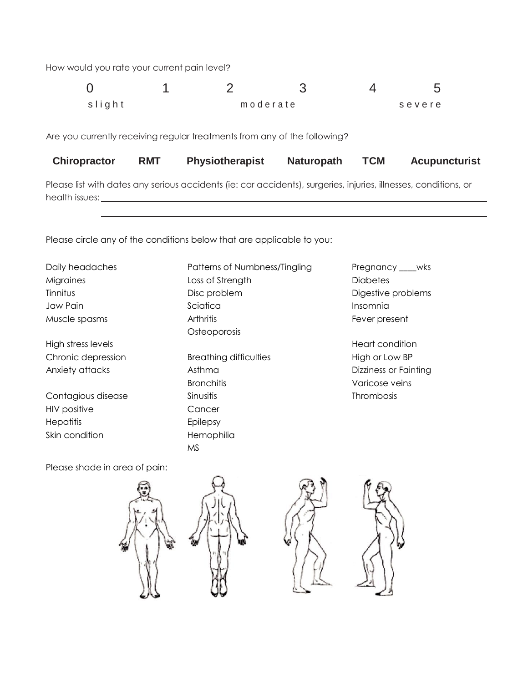How would you rate your current pain level?

| slight |  | moderate | severe |
|--------|--|----------|--------|

Are you currently receiving regular treatments from any of the following?

| <b>Chiropractor</b> | RMT | <b>Physiotherapist</b> | <b>Naturopath</b> | TCM | <b>Acupuncturist</b> |
|---------------------|-----|------------------------|-------------------|-----|----------------------|
|---------------------|-----|------------------------|-------------------|-----|----------------------|

Please list with dates any serious accidents (ie: car accidents), surgeries, injuries, illnesses, conditions, or health issues:

Please circle any of the conditions below that are applicable to you:

Daily headaches **Patterns of Numbness/Tingling** Pregnancy \_\_\_wks

HIV positive Cancer Hepatitis Epilepsy Skin condition extending the Hemophilia

Migraines **Exercise Strength** Loss of Strength **Exercise Strength** Diabetes Tinnitus **Disc problem** Disc problem **Digestive problems** Jaw Pain Sciatica Insomnia Muscle spasms Arthritis Fever present **Osteoporosis** High stress levels **High stress levels** Chronic depression Breathing difficulties High or Low BP Anxiety attacks and Asthma Asthma Dizziness or Fainting Bronchitis Varicose veins Contagious disease Sinusitis Sinusitis Contagious disease Sinusitis Sinus Sinus Contagious disease Sinus Conta

Please shade in area of pain:



MS